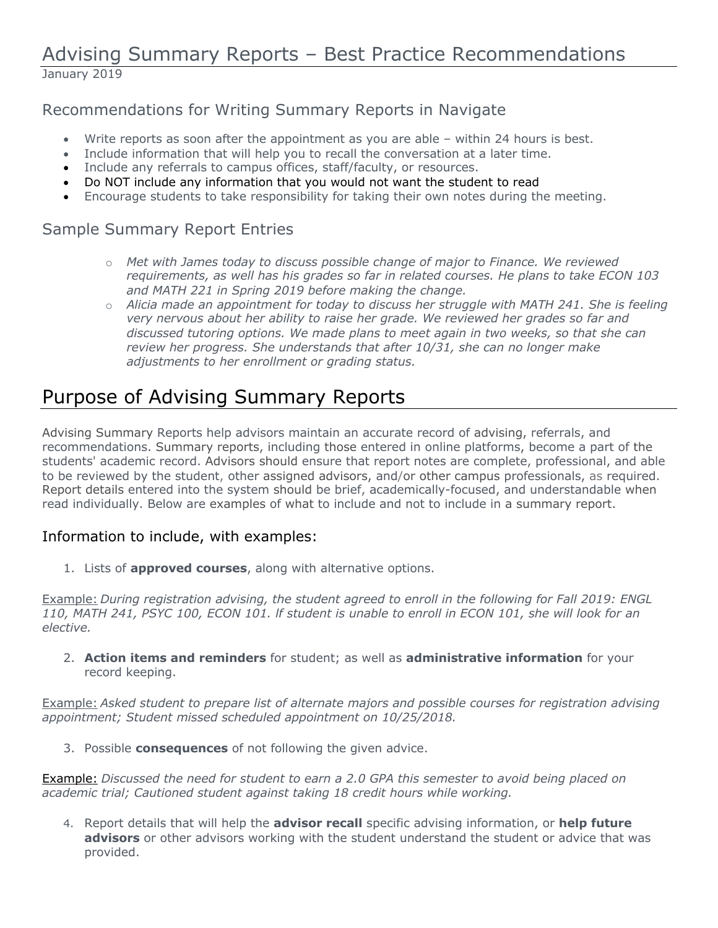# Advising Summary Reports – Best Practice Recommendations January 2019

## Recommendations for Writing Summary Reports in Navigate

- Write reports as soon after the appointment as you are able within 24 hours is best.
- Include information that will help you to recall the conversation at a later time.
- Include any referrals to campus offices, staff/faculty, or resources.
- Do NOT include any information that you would not want the student to read
- Encourage students to take responsibility for taking their own notes during the meeting.

## Sample Summary Report Entries

- o *Met with James today to discuss possible change of major to Finance. We reviewed requirements, as well has his grades so far in related courses. He plans to take ECON 103 and MATH 221 in Spring 2019 before making the change.*
- o *Alicia made an appointment for today to discuss her struggle with MATH 241. She is feeling very nervous about her ability to raise her grade. We reviewed her grades so far and discussed tutoring options. We made plans to meet again in two weeks, so that she can review her progress. She understands that after 10/31, she can no longer make adjustments to her enrollment or grading status.*

# Purpose of Advising Summary Reports

Advising Summary Reports help advisors maintain an accurate record of advising, referrals, and recommendations. Summary reports, including those entered in online platforms, become a part of the students' academic record. Advisors should ensure that report notes are complete, professional, and able to be reviewed by the student, other assigned advisors, and/or other campus professionals, as required. Report details entered into the system should be brief, academically-focused, and understandable when read individually. Below are examples of what to include and not to include in a summary report.

## Information to include, with examples:

1. Lists of **approved courses**, along with alternative options.

Example: *During registration advising, the student agreed to enroll in the following for Fall 2019: ENGL 110, MATH 241, PSYC 100, ECON 101. lf student is unable to enroll in ECON 101, she will look for an elective.*

2. **Action items and reminders** for student; as well as **administrative information** for your record keeping.

Example: *Asked student to prepare list of alternate majors and possible courses for registration advising appointment; Student missed scheduled appointment on 10/25/2018.* 

3. Possible **consequences** of not following the given advice.

Example: *Discussed the need for student to earn a 2.0 GPA this semester to avoid being placed on academic trial; Cautioned student against taking 18 credit hours while working.* 

4. Report details that will help the **advisor recall** specific advising information, or **help future advisors** or other advisors working with the student understand the student or advice that was provided.